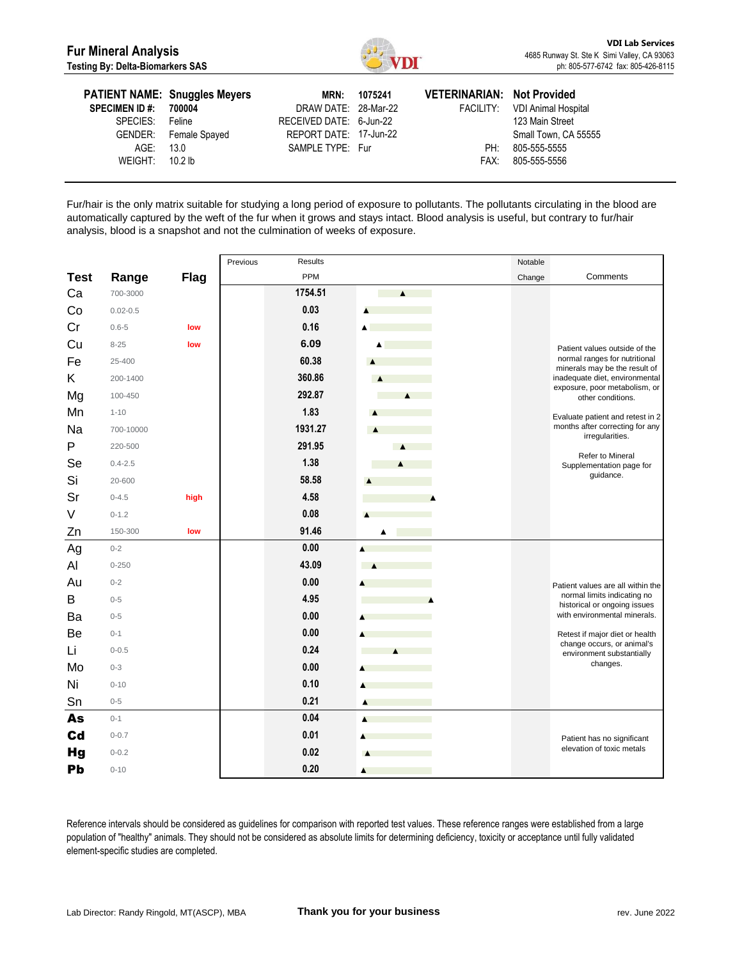

| <b>SPECIMEN ID#:</b><br>SPECIES:<br>AGE: 13.0 | <b>PATIENT NAME: Snuggles Meyers</b><br>700004<br>Feline<br>GENDER: Female Spayed | MRN:<br>DRAW DATE: 28-Mar-22<br>RECEIVED DATE: 6-Jun-22<br>REPORT DATE: 17-Jun-22<br>SAMPLE TYPE: Fur | 1075241 | <b>VETERINARIAN: Not Provided</b><br>PH: | FACILITY: VDI Animal Hospital<br>123 Main Street<br>Small Town, CA 55555<br>805-555-5555 |
|-----------------------------------------------|-----------------------------------------------------------------------------------|-------------------------------------------------------------------------------------------------------|---------|------------------------------------------|------------------------------------------------------------------------------------------|
| WEIGHT: $10.2$ lb                             |                                                                                   |                                                                                                       |         | FAX:                                     | 805-555-5556                                                                             |

Fur/hair is the only matrix suitable for studying a long period of exposure to pollutants. The pollutants circulating in the blood are automatically captured by the weft of the fur when it grows and stays intact. Blood analysis is useful, but contrary to fur/hair analysis, blood is a snapshot and not the culmination of weeks of exposure.

|             |              |             | Previous<br><b>Results</b> |                  | Notable |                                                                |
|-------------|--------------|-------------|----------------------------|------------------|---------|----------------------------------------------------------------|
| <b>Test</b> | Range        | <b>Flag</b> | PPM                        |                  | Change  | Comments                                                       |
| Ca          | 700-3000     |             | 1754.51                    | $\blacktriangle$ |         |                                                                |
| Co          | $0.02 - 0.5$ |             | 0.03                       | $\blacktriangle$ |         |                                                                |
| Cr          | $0.6 - 5$    | low         | 0.16                       | ▲                |         |                                                                |
| Cu          | $8 - 25$     | low         | 6.09                       | $\blacktriangle$ |         | Patient values outside of the                                  |
| Fe          | 25-400       |             | 60.38                      |                  |         | normal ranges for nutritional<br>minerals may be the result of |
| Κ           | 200-1400     |             | 360.86                     |                  |         | inadequate diet, environmental                                 |
| Mg          | 100-450      |             | 292.87                     | $\blacktriangle$ |         | exposure, poor metabolism, or<br>other conditions.             |
| Mn          | $1 - 10$     |             | 1.83                       | Δ                |         | Evaluate patient and retest in 2                               |
| Na          | 700-10000    |             | 1931.27                    | $\blacktriangle$ |         | months after correcting for any<br>irregularities.             |
| P           | 220-500      |             | 291.95                     | $\blacktriangle$ |         |                                                                |
| Se          | $0.4 - 2.5$  |             | 1.38                       | A                |         | Refer to Mineral<br>Supplementation page for                   |
| Si          | 20-600       |             | 58.58                      |                  |         | guidance.                                                      |
| Sr          | $0 - 4.5$    | high        | 4.58                       |                  |         |                                                                |
| V           | $0 - 1.2$    |             | 0.08                       |                  |         |                                                                |
| Zn          | 150-300      | low         | 91.46                      |                  |         |                                                                |
| Ag          | $0 - 2$      |             | 0.00                       | A                |         |                                                                |
| Al          | $0 - 250$    |             | 43.09                      |                  |         |                                                                |
| Au          | $0 - 2$      |             | 0.00                       |                  |         | Patient values are all within the                              |
| B           | $0 - 5$      |             | 4.95                       |                  |         | normal limits indicating no<br>historical or ongoing issues    |
| Ba          | $0 - 5$      |             | 0.00                       |                  |         | with environmental minerals.                                   |
| Be          | $0 - 1$      |             | 0.00                       |                  |         | Retest if major diet or health                                 |
| Li          | $0 - 0.5$    |             | 0.24                       | $\blacktriangle$ |         | change occurs, or animal's<br>environment substantially        |
| Mo          | $0 - 3$      |             | 0.00                       |                  |         | changes.                                                       |
| Ni          | $0 - 10$     |             | 0.10                       | ▲                |         |                                                                |
| Sn          | $0 - 5$      |             | 0.21                       | Ā                |         |                                                                |
| As          | $0 - 1$      |             | 0.04                       |                  |         |                                                                |
| Cd          | $0 - 0.7$    |             | 0.01                       |                  |         | Patient has no significant                                     |
| <b>Hg</b>   | $0 - 0.2$    |             | 0.02                       |                  |         | elevation of toxic metals                                      |
| Pb          | $0 - 10$     |             | 0.20                       | ▲                |         |                                                                |

Reference intervals should be considered as guidelines for comparison with reported test values. These reference ranges were established from a large population of "healthy" animals. They should not be considered as absolute limits for determining deficiency, toxicity or acceptance until fully validated element-specific studies are completed.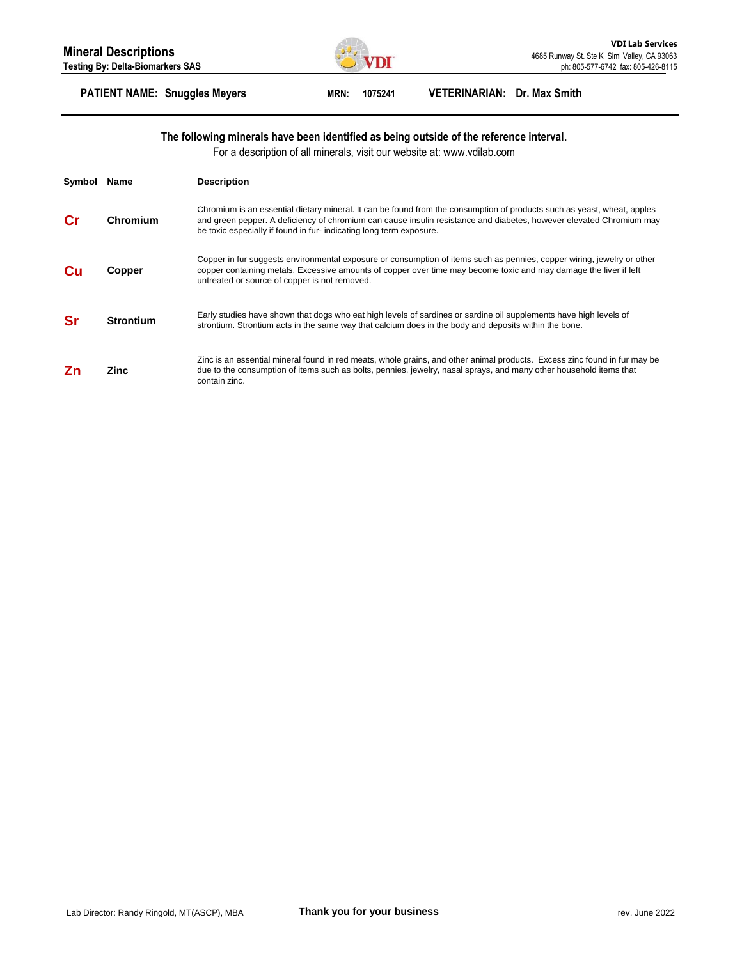

## **PATIENT NAME: Snuggles Meyers MRN: 1075241 VETERINARIAN: Dr. Max Smith**

### **The following minerals have been identified as being outside of the reference interval**.

For a description of all minerals, visit our website at: www.vdilab.com

| Symbol | Name             | <b>Description</b>                                                                                                                                                                                                                                                                                                   |
|--------|------------------|----------------------------------------------------------------------------------------------------------------------------------------------------------------------------------------------------------------------------------------------------------------------------------------------------------------------|
|        | Chromium         | Chromium is an essential dietary mineral. It can be found from the consumption of products such as yeast, wheat, apples<br>and green pepper. A deficiency of chromium can cause insulin resistance and diabetes, however elevated Chromium may<br>be toxic especially if found in fur-indicating long term exposure. |
| Cп     | Copper           | Copper in fur suggests environmental exposure or consumption of items such as pennies, copper wiring, jewelry or other<br>copper containing metals. Excessive amounts of copper over time may become toxic and may damage the liver if left<br>untreated or source of copper is not removed.                         |
|        | <b>Strontium</b> | Early studies have shown that dogs who eat high levels of sardines or sardine oil supplements have high levels of<br>strontium. Strontium acts in the same way that calcium does in the body and deposits within the bone.                                                                                           |
|        | Zinc             | Zinc is an essential mineral found in red meats, whole grains, and other animal products. Excess zinc found in fur may be<br>due to the consumption of items such as bolts, pennies, jewelry, nasal sprays, and many other household items that<br>contain zinc.                                                     |